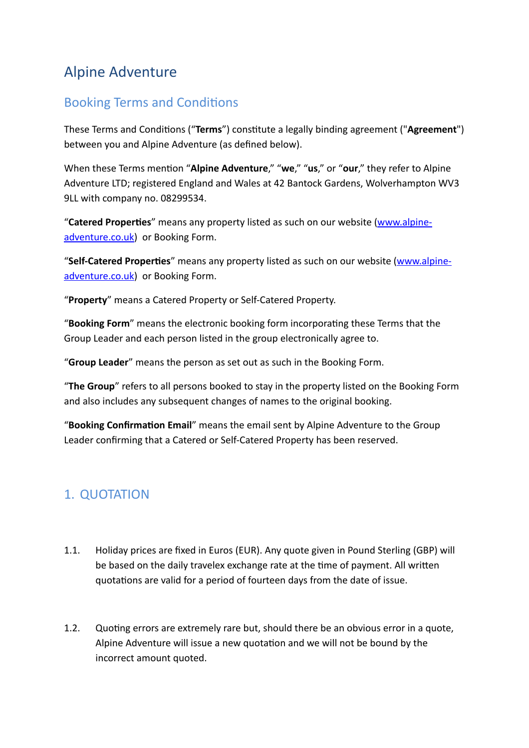# Alpine Adventure

# Booking Terms and Conditions

These Terms and Conditions ("**Terms**") constitute a legally binding agreement ("**Agreement**") between you and Alpine Adventure (as defined below).

When these Terms mention "**Alpine Adventure**," "**we**," "**us**," or "**our**," they refer to Alpine Adventure LTD; registered England and Wales at 42 Bantock Gardens, Wolverhampton WV3 9LL with company no. 08299534.

"**Catered Properties**" means any property listed as such on our website [\(www.alpine](http://www.alpine-adventure.co.uk)[adventure.co.uk\)](http://www.alpine-adventure.co.uk) or Booking Form.

"**Self-Catered Properties**" means any property listed as such on our website [\(www.alpine](http://www.alpine-adventure.co.uk)[adventure.co.uk\)](http://www.alpine-adventure.co.uk) or Booking Form.

"**Property**" means a Catered Property or Self-Catered Property.

"**Booking Form**" means the electronic booking form incorporating these Terms that the Group Leader and each person listed in the group electronically agree to.

"**Group Leader**" means the person as set out as such in the Booking Form.

"**The Group**" refers to all persons booked to stay in the property listed on the Booking Form and also includes any subsequent changes of names to the original booking.

"**Booking Confirmation Email**" means the email sent by Alpine Adventure to the Group Leader confirming that a Catered or Self-Catered Property has been reserved.

# 1. QUOTATION

- 1.1. Holiday prices are fixed in Euros (EUR). Any quote given in Pound Sterling (GBP) will be based on the daily travelex exchange rate at the time of payment. All written quotations are valid for a period of fourteen days from the date of issue.
- 1.2. Quoting errors are extremely rare but, should there be an obvious error in a quote, Alpine Adventure will issue a new quotation and we will not be bound by the incorrect amount quoted.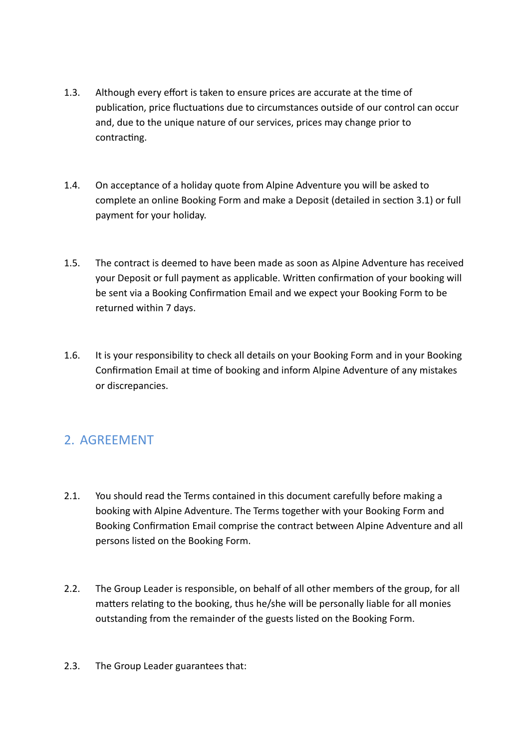- 1.3. Although every effort is taken to ensure prices are accurate at the time of publication, price fluctuations due to circumstances outside of our control can occur and, due to the unique nature of our services, prices may change prior to contracting.
- 1.4. On acceptance of a holiday quote from Alpine Adventure you will be asked to complete an online Booking Form and make a Deposit (detailed in section 3.1) or full payment for your holiday.
- 1.5. The contract is deemed to have been made as soon as Alpine Adventure has received your Deposit or full payment as applicable. Written confirmation of your booking will be sent via a Booking Confirmation Email and we expect your Booking Form to be returned within 7 days.
- 1.6. It is your responsibility to check all details on your Booking Form and in your Booking Confirmation Email at time of booking and inform Alpine Adventure of any mistakes or discrepancies.

# 2. AGREEMENT

- 2.1. You should read the Terms contained in this document carefully before making a booking with Alpine Adventure. The Terms together with your Booking Form and Booking Confirmation Email comprise the contract between Alpine Adventure and all persons listed on the Booking Form.
- 2.2. The Group Leader is responsible, on behalf of all other members of the group, for all matters relating to the booking, thus he/she will be personally liable for all monies outstanding from the remainder of the guests listed on the Booking Form.
- 2.3. The Group Leader guarantees that: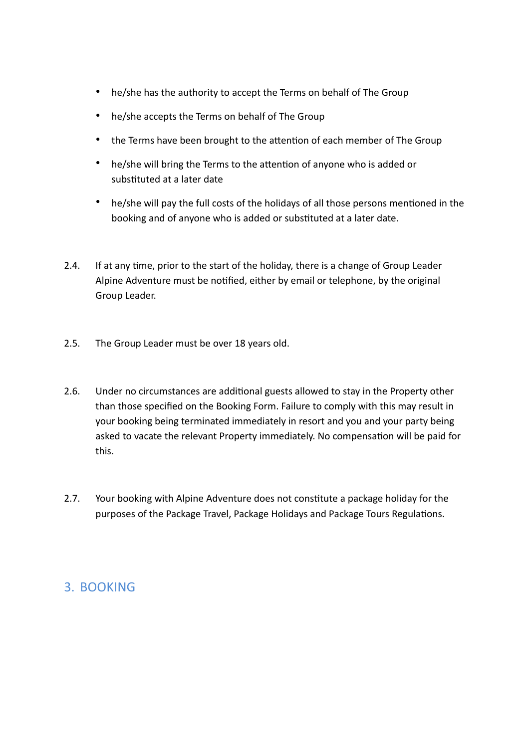- he/she has the authority to accept the Terms on behalf of The Group
- he/she accepts the Terms on behalf of The Group
- the Terms have been brought to the attention of each member of The Group
- he/she will bring the Terms to the attention of anyone who is added or substituted at a later date
- he/she will pay the full costs of the holidays of all those persons mentioned in the booking and of anyone who is added or substituted at a later date.
- 2.4. If at any time, prior to the start of the holiday, there is a change of Group Leader Alpine Adventure must be notified, either by email or telephone, by the original Group Leader.
- 2.5. The Group Leader must be over 18 years old.
- 2.6. Under no circumstances are additional guests allowed to stay in the Property other than those specified on the Booking Form. Failure to comply with this may result in your booking being terminated immediately in resort and you and your party being asked to vacate the relevant Property immediately. No compensation will be paid for this.
- 2.7. Your booking with Alpine Adventure does not constitute a package holiday for the purposes of the Package Travel, Package Holidays and Package Tours Regulations.

### 3. BOOKING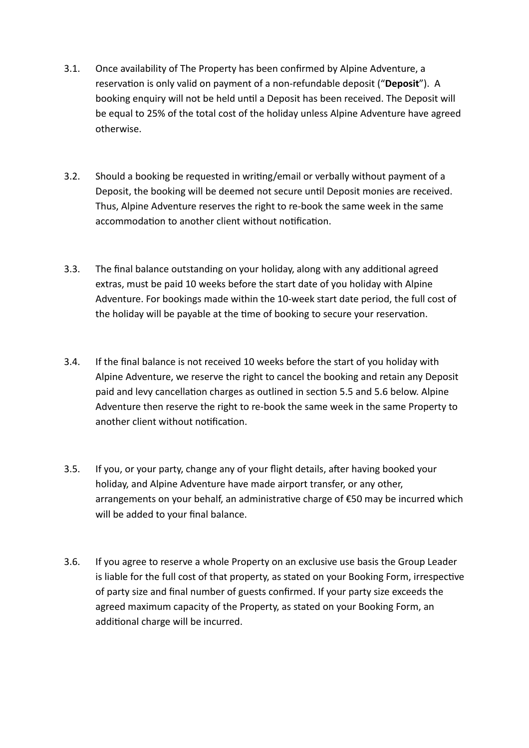- 3.1. Once availability of The Property has been confirmed by Alpine Adventure, a reservation is only valid on payment of a non-refundable deposit ("**Deposit**"). A booking enquiry will not be held until a Deposit has been received. The Deposit will be equal to 25% of the total cost of the holiday unless Alpine Adventure have agreed otherwise.
- 3.2. Should a booking be requested in writing/email or verbally without payment of a Deposit, the booking will be deemed not secure until Deposit monies are received. Thus, Alpine Adventure reserves the right to re-book the same week in the same accommodation to another client without notification.
- 3.3. The final balance outstanding on your holiday, along with any additional agreed extras, must be paid 10 weeks before the start date of you holiday with Alpine Adventure. For bookings made within the 10-week start date period, the full cost of the holiday will be payable at the time of booking to secure your reservation.
- 3.4. If the final balance is not received 10 weeks before the start of you holiday with Alpine Adventure, we reserve the right to cancel the booking and retain any Deposit paid and levy cancellation charges as outlined in section 5.5 and 5.6 below. Alpine Adventure then reserve the right to re-book the same week in the same Property to another client without notification.
- 3.5. If you, or your party, change any of your flight details, after having booked your holiday, and Alpine Adventure have made airport transfer, or any other, arrangements on your behalf, an administrative charge of €50 may be incurred which will be added to your final balance.
- 3.6. If you agree to reserve a whole Property on an exclusive use basis the Group Leader is liable for the full cost of that property, as stated on your Booking Form, irrespective of party size and final number of guests confirmed. If your party size exceeds the agreed maximum capacity of the Property, as stated on your Booking Form, an additional charge will be incurred.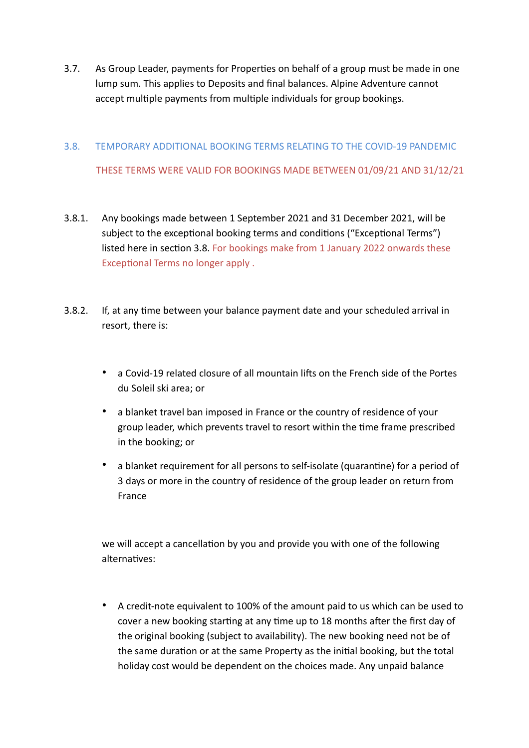3.7. As Group Leader, payments for Properties on behalf of a group must be made in one lump sum. This applies to Deposits and final balances. Alpine Adventure cannot accept multiple payments from multiple individuals for group bookings.

# 3.8. TEMPORARY ADDITIONAL BOOKING TERMS RELATING TO THE COVID-19 PANDEMIC THESE TERMS WERE VALID FOR BOOKINGS MADE BETWEEN 01/09/21 AND 31/12/21

- 3.8.1. Any bookings made between 1 September 2021 and 31 December 2021, will be subject to the exceptional booking terms and conditions ("Exceptional Terms") listed here in section 3.8. For bookings make from 1 January 2022 onwards these Exceptional Terms no longer apply .
- 3.8.2. If, at any time between your balance payment date and your scheduled arrival in resort, there is:
	- a Covid-19 related closure of all mountain lifts on the French side of the Portes du Soleil ski area; or
	- a blanket travel ban imposed in France or the country of residence of your group leader, which prevents travel to resort within the time frame prescribed in the booking; or
	- a blanket requirement for all persons to self-isolate (quarantine) for a period of 3 days or more in the country of residence of the group leader on return from France

we will accept a cancellation by you and provide you with one of the following alternatives:

• A credit-note equivalent to 100% of the amount paid to us which can be used to cover a new booking starting at any time up to 18 months after the first day of the original booking (subject to availability). The new booking need not be of the same duration or at the same Property as the initial booking, but the total holiday cost would be dependent on the choices made. Any unpaid balance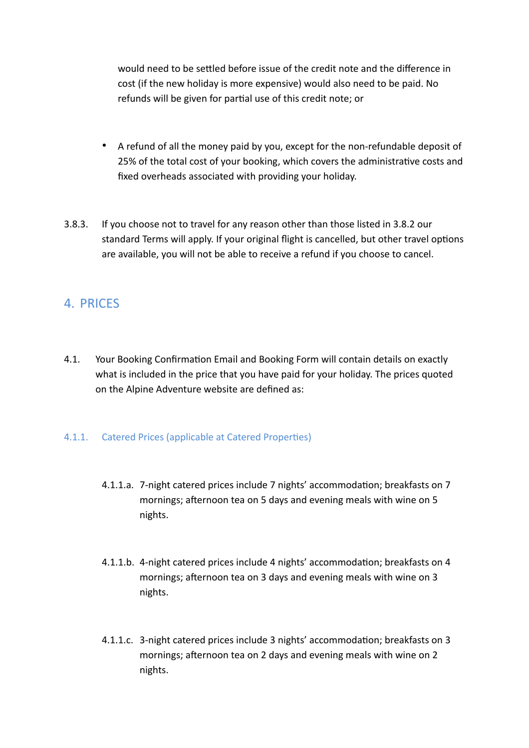would need to be settled before issue of the credit note and the difference in cost (if the new holiday is more expensive) would also need to be paid. No refunds will be given for partial use of this credit note; or

- A refund of all the money paid by you, except for the non-refundable deposit of 25% of the total cost of your booking, which covers the administrative costs and fixed overheads associated with providing your holiday.
- 3.8.3. If you choose not to travel for any reason other than those listed in 3.8.2 our standard Terms will apply. If your original flight is cancelled, but other travel options are available, you will not be able to receive a refund if you choose to cancel.

### 4. PRICES

4.1. Your Booking Confirmation Email and Booking Form will contain details on exactly what is included in the price that you have paid for your holiday. The prices quoted on the Alpine Adventure website are defined as:

#### 4.1.1. Catered Prices (applicable at Catered Properties)

- 4.1.1.a. 7-night catered prices include 7 nights' accommodation; breakfasts on 7 mornings; afternoon tea on 5 days and evening meals with wine on 5 nights.
- 4.1.1.b. 4-night catered prices include 4 nights' accommodation; breakfasts on 4 mornings; afternoon tea on 3 days and evening meals with wine on 3 nights.
- 4.1.1.c. 3-night catered prices include 3 nights' accommodation; breakfasts on 3 mornings; afternoon tea on 2 days and evening meals with wine on 2 nights.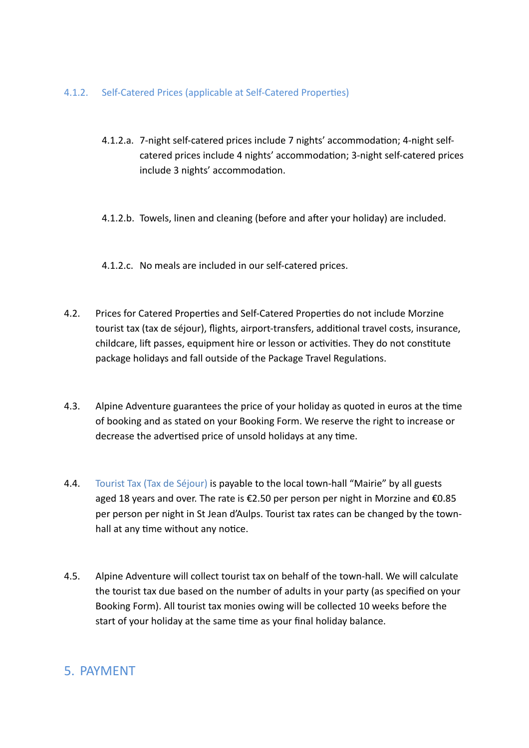#### 4.1.2. Self-Catered Prices (applicable at Self-Catered Properties)

- 4.1.2.a. 7-night self-catered prices include 7 nights' accommodation; 4-night selfcatered prices include 4 nights' accommodation; 3-night self-catered prices include 3 nights' accommodation.
- 4.1.2.b. Towels, linen and cleaning (before and after your holiday) are included.

4.1.2.c. No meals are included in our self-catered prices.

- 4.2. Prices for Catered Properties and Self-Catered Properties do not include Morzine tourist tax (tax de séjour), flights, airport-transfers, additional travel costs, insurance, childcare, lift passes, equipment hire or lesson or activities. They do not constitute package holidays and fall outside of the Package Travel Regulations.
- 4.3. Alpine Adventure guarantees the price of your holiday as quoted in euros at the time of booking and as stated on your Booking Form. We reserve the right to increase or decrease the advertised price of unsold holidays at any time.
- 4.4. Tourist Tax (Tax de Séjour) is payable to the local town-hall "Mairie" by all guests aged 18 years and over. The rate is €2.50 per person per night in Morzine and €0.85 per person per night in St Jean d'Aulps. Tourist tax rates can be changed by the townhall at any time without any notice.
- 4.5. Alpine Adventure will collect tourist tax on behalf of the town-hall. We will calculate the tourist tax due based on the number of adults in your party (as specified on your Booking Form). All tourist tax monies owing will be collected 10 weeks before the start of your holiday at the same time as your final holiday balance.

# 5. PAYMENT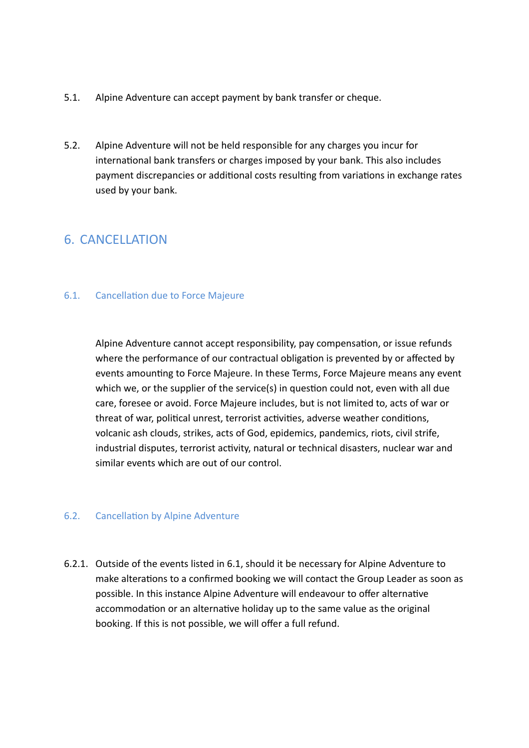- 5.1. Alpine Adventure can accept payment by bank transfer or cheque.
- 5.2. Alpine Adventure will not be held responsible for any charges you incur for international bank transfers or charges imposed by your bank. This also includes payment discrepancies or additional costs resulting from variations in exchange rates used by your bank.

### 6. CANCELLATION

#### 6.1. Cancellation due to Force Majeure

Alpine Adventure cannot accept responsibility, pay compensation, or issue refunds where the performance of our contractual obligation is prevented by or affected by events amounting to Force Majeure. In these Terms, Force Majeure means any event which we, or the supplier of the service(s) in question could not, even with all due care, foresee or avoid. Force Majeure includes, but is not limited to, acts of war or threat of war, political unrest, terrorist activities, adverse weather conditions, volcanic ash clouds, strikes, acts of God, epidemics, pandemics, riots, civil strife, industrial disputes, terrorist activity, natural or technical disasters, nuclear war and similar events which are out of our control.

#### 6.2. Cancellation by Alpine Adventure

6.2.1. Outside of the events listed in 6.1, should it be necessary for Alpine Adventure to make alterations to a confirmed booking we will contact the Group Leader as soon as possible. In this instance Alpine Adventure will endeavour to offer alternative accommodation or an alternative holiday up to the same value as the original booking. If this is not possible, we will offer a full refund.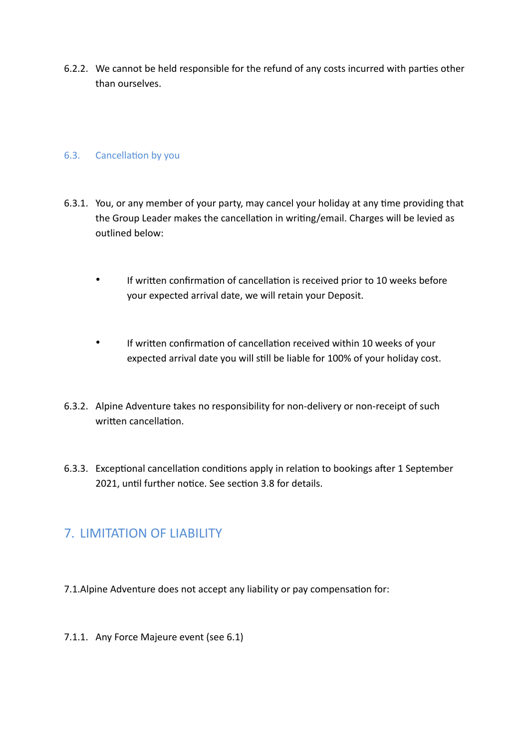6.2.2. We cannot be held responsible for the refund of any costs incurred with parties other than ourselves.

#### 6.3. Cancellation by you

- 6.3.1. You, or any member of your party, may cancel your holiday at any time providing that the Group Leader makes the cancellation in writing/email. Charges will be levied as outlined below:
	- If written confirmation of cancellation is received prior to 10 weeks before your expected arrival date, we will retain your Deposit.
	- If written confirmation of cancellation received within 10 weeks of your expected arrival date you will still be liable for 100% of your holiday cost.
- 6.3.2. Alpine Adventure takes no responsibility for non-delivery or non-receipt of such written cancellation.
- 6.3.3. Exceptional cancellation conditions apply in relation to bookings after 1 September 2021, until further notice. See section 3.8 for details.

### 7. LIMITATION OF LIABILITY

- 7.1.Alpine Adventure does not accept any liability or pay compensation for:
- 7.1.1. Any Force Majeure event (see 6.1)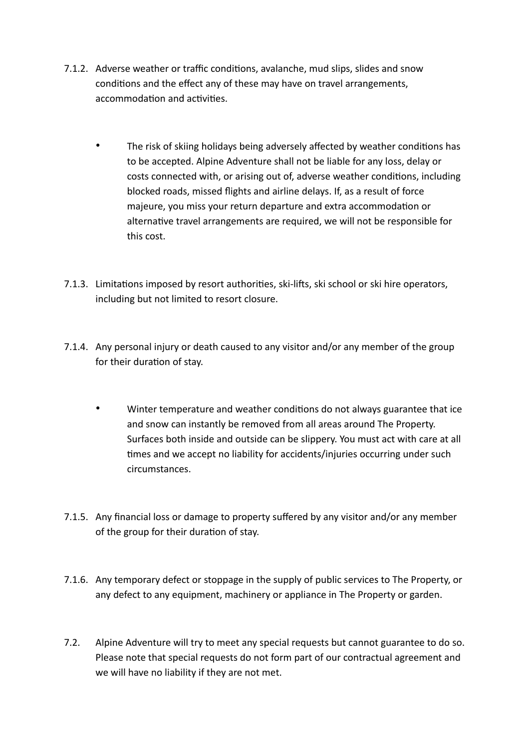- 7.1.2. Adverse weather or traffic conditions, avalanche, mud slips, slides and snow conditions and the effect any of these may have on travel arrangements, accommodation and activities.
	- The risk of skiing holidays being adversely affected by weather conditions has to be accepted. Alpine Adventure shall not be liable for any loss, delay or costs connected with, or arising out of, adverse weather conditions, including blocked roads, missed flights and airline delays. If, as a result of force majeure, you miss your return departure and extra accommodation or alternative travel arrangements are required, we will not be responsible for this cost.
- 7.1.3. Limitations imposed by resort authorities, ski-lifts, ski school or ski hire operators, including but not limited to resort closure.
- 7.1.4. Any personal injury or death caused to any visitor and/or any member of the group for their duration of stay.
	- Winter temperature and weather conditions do not always guarantee that ice and snow can instantly be removed from all areas around The Property. Surfaces both inside and outside can be slippery. You must act with care at all times and we accept no liability for accidents/injuries occurring under such circumstances.
- 7.1.5. Any financial loss or damage to property suffered by any visitor and/or any member of the group for their duration of stay.
- 7.1.6. Any temporary defect or stoppage in the supply of public services to The Property, or any defect to any equipment, machinery or appliance in The Property or garden.
- 7.2. Alpine Adventure will try to meet any special requests but cannot guarantee to do so. Please note that special requests do not form part of our contractual agreement and we will have no liability if they are not met.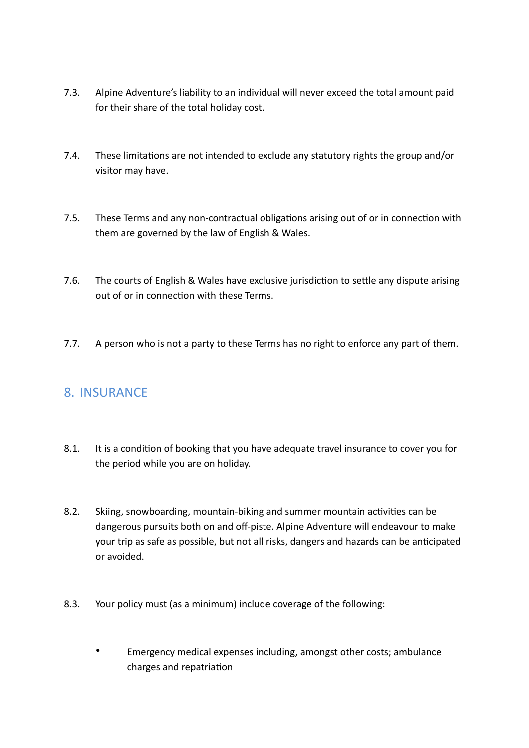- 7.3. Alpine Adventure's liability to an individual will never exceed the total amount paid for their share of the total holiday cost.
- 7.4. These limitations are not intended to exclude any statutory rights the group and/or visitor may have.
- 7.5. These Terms and any non-contractual obligations arising out of or in connection with them are governed by the law of English & Wales.
- 7.6. The courts of English & Wales have exclusive jurisdiction to settle any dispute arising out of or in connection with these Terms.
- 7.7. A person who is not a party to these Terms has no right to enforce any part of them.

# 8. INSURANCE

- 8.1. It is a condition of booking that you have adequate travel insurance to cover you for the period while you are on holiday.
- 8.2. Skiing, snowboarding, mountain-biking and summer mountain activities can be dangerous pursuits both on and off-piste. Alpine Adventure will endeavour to make your trip as safe as possible, but not all risks, dangers and hazards can be anticipated or avoided.
- 8.3. Your policy must (as a minimum) include coverage of the following:
	- Emergency medical expenses including, amongst other costs; ambulance charges and repatriation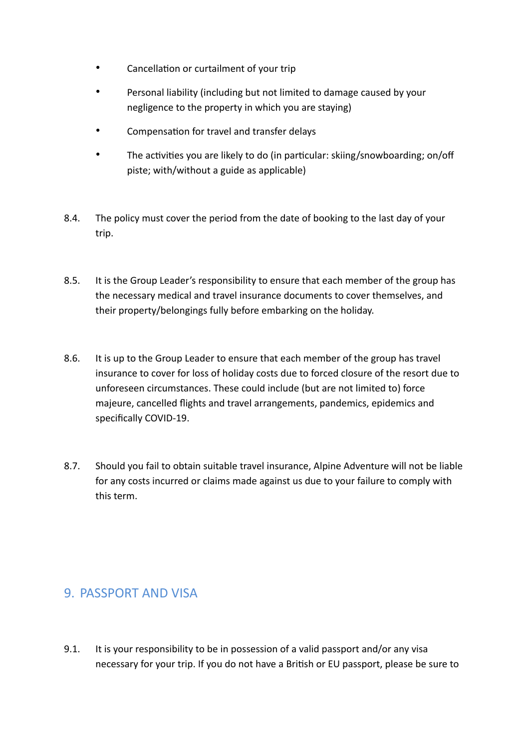- Cancellation or curtailment of your trip
- Personal liability (including but not limited to damage caused by your negligence to the property in which you are staying)
- Compensation for travel and transfer delays
- The activities you are likely to do (in particular: skiing/snowboarding; on/off piste; with/without a guide as applicable)
- 8.4. The policy must cover the period from the date of booking to the last day of your trip.
- 8.5. It is the Group Leader's responsibility to ensure that each member of the group has the necessary medical and travel insurance documents to cover themselves, and their property/belongings fully before embarking on the holiday.
- 8.6. It is up to the Group Leader to ensure that each member of the group has travel insurance to cover for loss of holiday costs due to forced closure of the resort due to unforeseen circumstances. These could include (but are not limited to) force majeure, cancelled flights and travel arrangements, pandemics, epidemics and specifically COVID-19.
- 8.7. Should you fail to obtain suitable travel insurance, Alpine Adventure will not be liable for any costs incurred or claims made against us due to your failure to comply with this term.

### 9. PASSPORT AND VISA

9.1. It is your responsibility to be in possession of a valid passport and/or any visa necessary for your trip. If you do not have a British or EU passport, please be sure to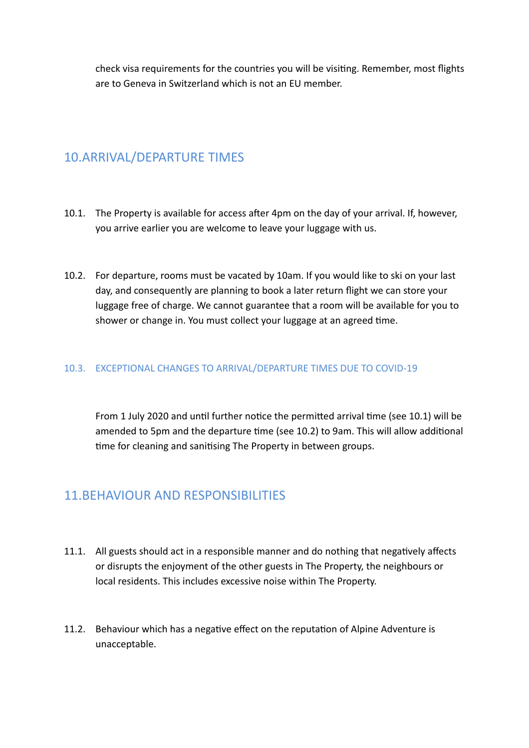check visa requirements for the countries you will be visiting. Remember, most flights are to Geneva in Switzerland which is not an EU member.

### 10.ARRIVAL/DEPARTURE TIMES

- 10.1. The Property is available for access after 4pm on the day of your arrival. If, however, you arrive earlier you are welcome to leave your luggage with us.
- 10.2. For departure, rooms must be vacated by 10am. If you would like to ski on your last day, and consequently are planning to book a later return flight we can store your luggage free of charge. We cannot guarantee that a room will be available for you to shower or change in. You must collect your luggage at an agreed time.

#### 10.3. EXCEPTIONAL CHANGES TO ARRIVAL/DEPARTURE TIMES DUE TO COVID-19

From 1 July 2020 and until further notice the permitted arrival time (see 10.1) will be amended to 5pm and the departure time (see 10.2) to 9am. This will allow additional time for cleaning and sanitising The Property in between groups.

### 11.BEHAVIOUR AND RESPONSIBILITIES

- 11.1. All guests should act in a responsible manner and do nothing that negatively affects or disrupts the enjoyment of the other guests in The Property, the neighbours or local residents. This includes excessive noise within The Property.
- 11.2. Behaviour which has a negative effect on the reputation of Alpine Adventure is unacceptable.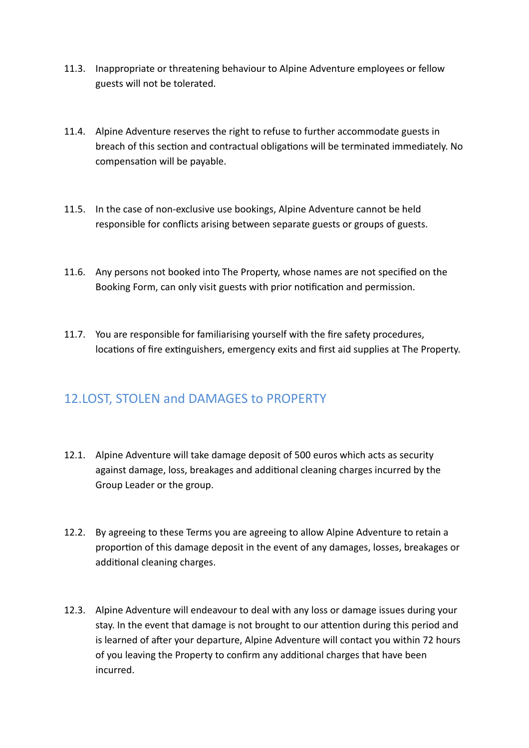- 11.3. Inappropriate or threatening behaviour to Alpine Adventure employees or fellow guests will not be tolerated.
- 11.4. Alpine Adventure reserves the right to refuse to further accommodate guests in breach of this section and contractual obligations will be terminated immediately. No compensation will be payable.
- 11.5. In the case of non-exclusive use bookings, Alpine Adventure cannot be held responsible for conflicts arising between separate guests or groups of guests.
- 11.6. Any persons not booked into The Property, whose names are not specified on the Booking Form, can only visit guests with prior notification and permission.
- 11.7. You are responsible for familiarising yourself with the fire safety procedures, locations of fire extinguishers, emergency exits and first aid supplies at The Property.

# 12.LOST, STOLEN and DAMAGES to PROPERTY

- 12.1. Alpine Adventure will take damage deposit of 500 euros which acts as security against damage, loss, breakages and additional cleaning charges incurred by the Group Leader or the group.
- 12.2. By agreeing to these Terms you are agreeing to allow Alpine Adventure to retain a proportion of this damage deposit in the event of any damages, losses, breakages or additional cleaning charges.
- 12.3. Alpine Adventure will endeavour to deal with any loss or damage issues during your stay. In the event that damage is not brought to our attention during this period and is learned of after your departure, Alpine Adventure will contact you within 72 hours of you leaving the Property to confirm any additional charges that have been incurred.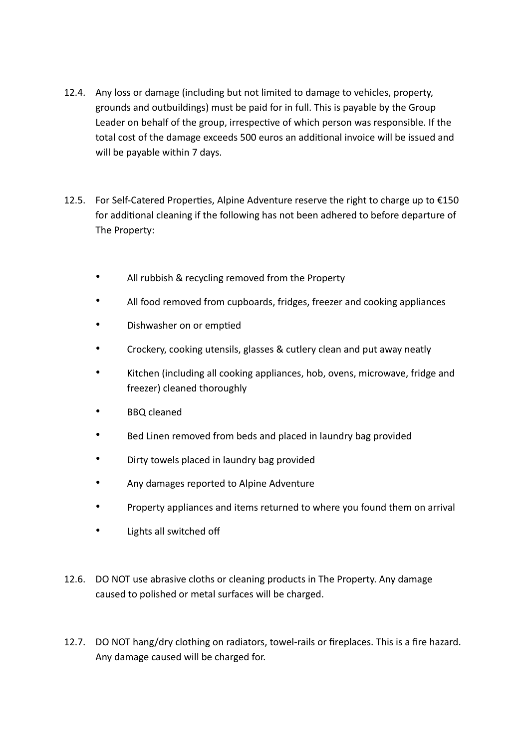- 12.4. Any loss or damage (including but not limited to damage to vehicles, property, grounds and outbuildings) must be paid for in full. This is payable by the Group Leader on behalf of the group, irrespective of which person was responsible. If the total cost of the damage exceeds 500 euros an additional invoice will be issued and will be payable within 7 days.
- 12.5. For Self-Catered Properties, Alpine Adventure reserve the right to charge up to  $\epsilon$ 150 for additional cleaning if the following has not been adhered to before departure of The Property:
	- All rubbish & recycling removed from the Property
	- All food removed from cupboards, fridges, freezer and cooking appliances
	- Dishwasher on or emptied
	- Crockery, cooking utensils, glasses & cutlery clean and put away neatly
	- Kitchen (including all cooking appliances, hob, ovens, microwave, fridge and freezer) cleaned thoroughly
	- BBQ cleaned
	- Bed Linen removed from beds and placed in laundry bag provided
	- Dirty towels placed in laundry bag provided
	- Any damages reported to Alpine Adventure
	- Property appliances and items returned to where you found them on arrival
	- Lights all switched off
- 12.6. DO NOT use abrasive cloths or cleaning products in The Property. Any damage caused to polished or metal surfaces will be charged.
- 12.7. DO NOT hang/dry clothing on radiators, towel-rails or fireplaces. This is a fire hazard. Any damage caused will be charged for.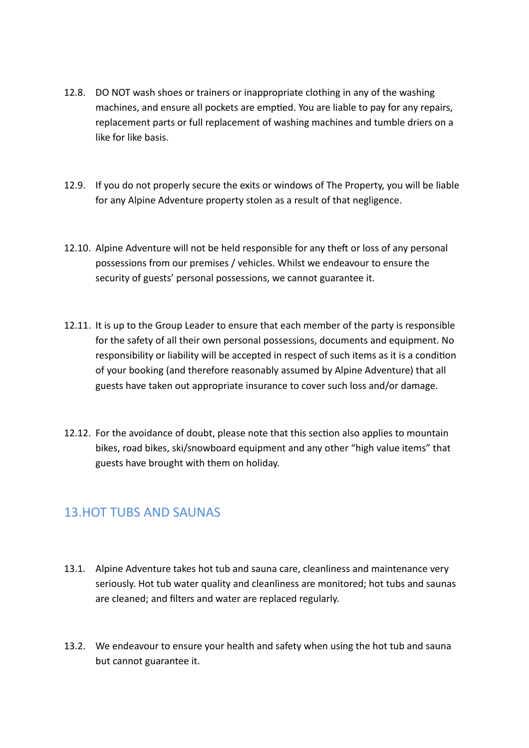- 12.8. DO NOT wash shoes or trainers or inappropriate clothing in any of the washing machines, and ensure all pockets are emptied. You are liable to pay for any repairs, replacement parts or full replacement of washing machines and tumble driers on a like for like basis.
- 12.9. If you do not properly secure the exits or windows of The Property, you will be liable for any Alpine Adventure property stolen as a result of that negligence.
- 12.10. Alpine Adventure will not be held responsible for any theft or loss of any personal possessions from our premises / vehicles. Whilst we endeavour to ensure the security of guests' personal possessions, we cannot guarantee it.
- 12.11. It is up to the Group Leader to ensure that each member of the party is responsible for the safety of all their own personal possessions, documents and equipment. No responsibility or liability will be accepted in respect of such items as it is a condition of your booking (and therefore reasonably assumed by Alpine Adventure) that all guests have taken out appropriate insurance to cover such loss and/or damage.
- 12.12. For the avoidance of doubt, please note that this section also applies to mountain bikes, road bikes, ski/snowboard equipment and any other "high value items" that guests have brought with them on holiday.

### 13.HOT TUBS AND SAUNAS

- 13.1. Alpine Adventure takes hot tub and sauna care, cleanliness and maintenance very seriously. Hot tub water quality and cleanliness are monitored; hot tubs and saunas are cleaned; and filters and water are replaced regularly.
- 13.2. We endeavour to ensure your health and safety when using the hot tub and sauna but cannot guarantee it.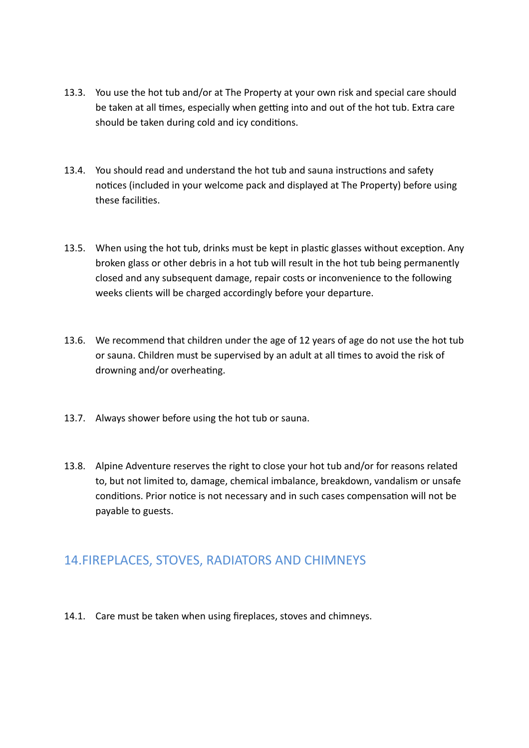- 13.3. You use the hot tub and/or at The Property at your own risk and special care should be taken at all times, especially when getting into and out of the hot tub. Extra care should be taken during cold and icy conditions.
- 13.4. You should read and understand the hot tub and sauna instructions and safety notices (included in your welcome pack and displayed at The Property) before using these facilities.
- 13.5. When using the hot tub, drinks must be kept in plastic glasses without exception. Any broken glass or other debris in a hot tub will result in the hot tub being permanently closed and any subsequent damage, repair costs or inconvenience to the following weeks clients will be charged accordingly before your departure.
- 13.6. We recommend that children under the age of 12 years of age do not use the hot tub or sauna. Children must be supervised by an adult at all times to avoid the risk of drowning and/or overheating.
- 13.7. Always shower before using the hot tub or sauna.
- 13.8. Alpine Adventure reserves the right to close your hot tub and/or for reasons related to, but not limited to, damage, chemical imbalance, breakdown, vandalism or unsafe conditions. Prior notice is not necessary and in such cases compensation will not be payable to guests.

### 14.FIREPLACES, STOVES, RADIATORS AND CHIMNEYS

14.1. Care must be taken when using fireplaces, stoves and chimneys.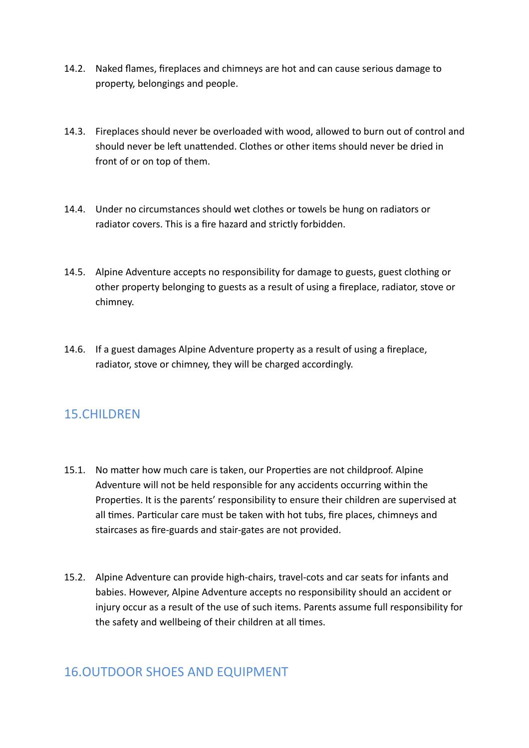- 14.2. Naked flames, fireplaces and chimneys are hot and can cause serious damage to property, belongings and people.
- 14.3. Fireplaces should never be overloaded with wood, allowed to burn out of control and should never be left unattended. Clothes or other items should never be dried in front of or on top of them.
- 14.4. Under no circumstances should wet clothes or towels be hung on radiators or radiator covers. This is a fire hazard and strictly forbidden.
- 14.5. Alpine Adventure accepts no responsibility for damage to guests, guest clothing or other property belonging to guests as a result of using a fireplace, radiator, stove or chimney.
- 14.6. If a guest damages Alpine Adventure property as a result of using a fireplace, radiator, stove or chimney, they will be charged accordingly.

### 15.CHILDREN

- 15.1. No matter how much care is taken, our Properties are not childproof. Alpine Adventure will not be held responsible for any accidents occurring within the Properties. It is the parents' responsibility to ensure their children are supervised at all times. Particular care must be taken with hot tubs, fire places, chimneys and staircases as fire-guards and stair-gates are not provided.
- 15.2. Alpine Adventure can provide high-chairs, travel-cots and car seats for infants and babies. However, Alpine Adventure accepts no responsibility should an accident or injury occur as a result of the use of such items. Parents assume full responsibility for the safety and wellbeing of their children at all times.

### 16.OUTDOOR SHOES AND EQUIPMENT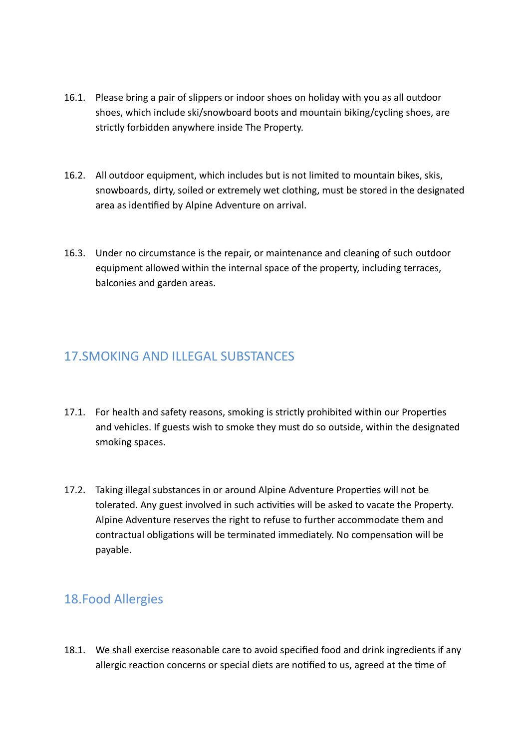- 16.1. Please bring a pair of slippers or indoor shoes on holiday with you as all outdoor shoes, which include ski/snowboard boots and mountain biking/cycling shoes, are strictly forbidden anywhere inside The Property.
- 16.2. All outdoor equipment, which includes but is not limited to mountain bikes, skis, snowboards, dirty, soiled or extremely wet clothing, must be stored in the designated area as identified by Alpine Adventure on arrival.
- 16.3. Under no circumstance is the repair, or maintenance and cleaning of such outdoor equipment allowed within the internal space of the property, including terraces, balconies and garden areas.

# 17.SMOKING AND ILLEGAL SUBSTANCES

- 17.1. For health and safety reasons, smoking is strictly prohibited within our Properties and vehicles. If guests wish to smoke they must do so outside, within the designated smoking spaces.
- 17.2. Taking illegal substances in or around Alpine Adventure Properties will not be tolerated. Any guest involved in such activities will be asked to vacate the Property. Alpine Adventure reserves the right to refuse to further accommodate them and contractual obligations will be terminated immediately. No compensation will be payable.

# 18.Food Allergies

18.1. We shall exercise reasonable care to avoid specified food and drink ingredients if any allergic reaction concerns or special diets are notified to us, agreed at the time of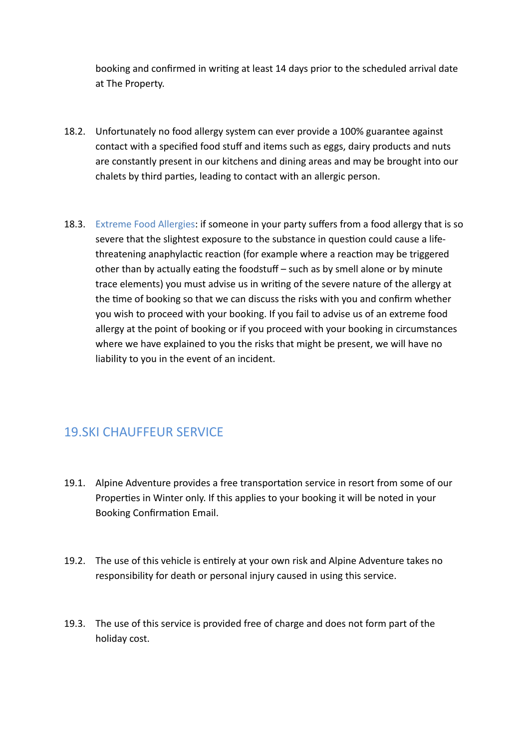booking and confirmed in writing at least 14 days prior to the scheduled arrival date at The Property.

- 18.2. Unfortunately no food allergy system can ever provide a 100% guarantee against contact with a specified food stuff and items such as eggs, dairy products and nuts are constantly present in our kitchens and dining areas and may be brought into our chalets by third parties, leading to contact with an allergic person.
- 18.3. Extreme Food Allergies: if someone in your party suffers from a food allergy that is so severe that the slightest exposure to the substance in question could cause a lifethreatening anaphylactic reaction (for example where a reaction may be triggered other than by actually eating the foodstuff – such as by smell alone or by minute trace elements) you must advise us in writing of the severe nature of the allergy at the time of booking so that we can discuss the risks with you and confirm whether you wish to proceed with your booking. If you fail to advise us of an extreme food allergy at the point of booking or if you proceed with your booking in circumstances where we have explained to you the risks that might be present, we will have no liability to you in the event of an incident.

# 19.SKI CHAUFFEUR SERVICE

- 19.1. Alpine Adventure provides a free transportation service in resort from some of our Properties in Winter only. If this applies to your booking it will be noted in your Booking Confirmation Email.
- 19.2. The use of this vehicle is entirely at your own risk and Alpine Adventure takes no responsibility for death or personal injury caused in using this service.
- 19.3. The use of this service is provided free of charge and does not form part of the holiday cost.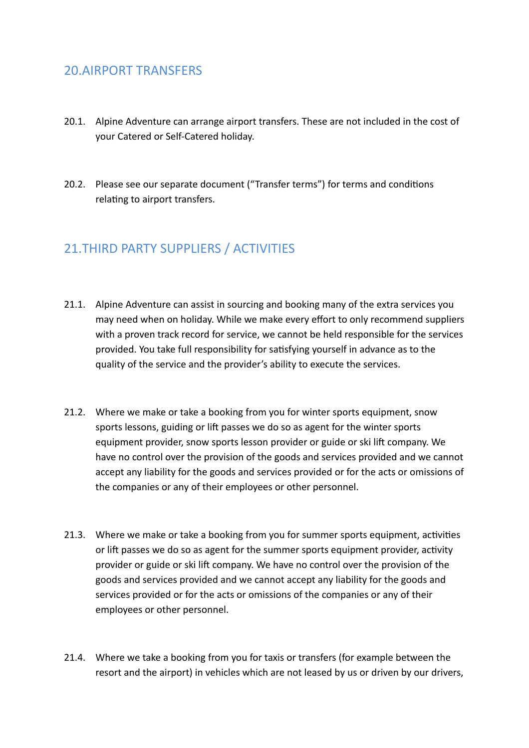### 20.AIRPORT TRANSFERS

- 20.1. Alpine Adventure can arrange airport transfers. These are not included in the cost of your Catered or Self-Catered holiday.
- 20.2. Please see our separate document ("Transfer terms") for terms and conditions relating to airport transfers.

# 21.THIRD PARTY SUPPLIERS / ACTIVITIES

- 21.1. Alpine Adventure can assist in sourcing and booking many of the extra services you may need when on holiday. While we make every effort to only recommend suppliers with a proven track record for service, we cannot be held responsible for the services provided. You take full responsibility for satisfying yourself in advance as to the quality of the service and the provider's ability to execute the services.
- 21.2. Where we make or take a booking from you for winter sports equipment, snow sports lessons, guiding or lift passes we do so as agent for the winter sports equipment provider, snow sports lesson provider or guide or ski lift company. We have no control over the provision of the goods and services provided and we cannot accept any liability for the goods and services provided or for the acts or omissions of the companies or any of their employees or other personnel.
- 21.3. Where we make or take a booking from you for summer sports equipment, activities or lift passes we do so as agent for the summer sports equipment provider, activity provider or guide or ski lift company. We have no control over the provision of the goods and services provided and we cannot accept any liability for the goods and services provided or for the acts or omissions of the companies or any of their employees or other personnel.
- 21.4. Where we take a booking from you for taxis or transfers (for example between the resort and the airport) in vehicles which are not leased by us or driven by our drivers,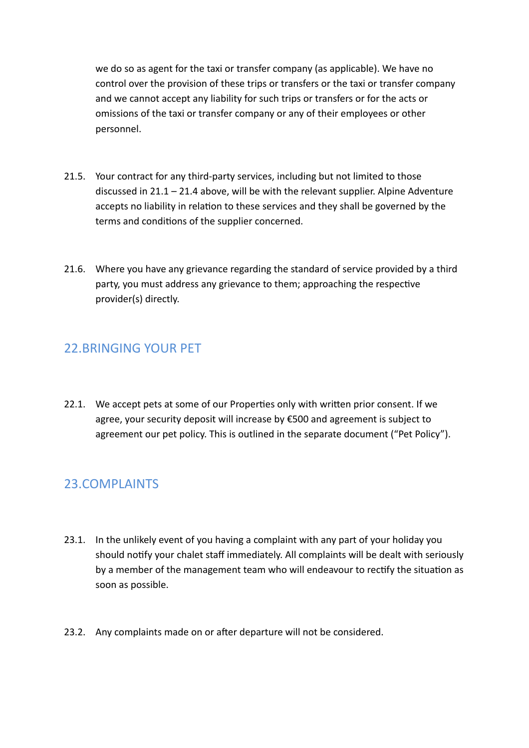we do so as agent for the taxi or transfer company (as applicable). We have no control over the provision of these trips or transfers or the taxi or transfer company and we cannot accept any liability for such trips or transfers or for the acts or omissions of the taxi or transfer company or any of their employees or other personnel.

- 21.5. Your contract for any third-party services, including but not limited to those discussed in  $21.1 - 21.4$  above, will be with the relevant supplier. Alpine Adventure accepts no liability in relation to these services and they shall be governed by the terms and conditions of the supplier concerned.
- 21.6. Where you have any grievance regarding the standard of service provided by a third party, you must address any grievance to them; approaching the respective provider(s) directly.

# 22.BRINGING YOUR PET

22.1. We accept pets at some of our Properties only with written prior consent. If we agree, your security deposit will increase by €500 and agreement is subject to agreement our pet policy. This is outlined in the separate document ("Pet Policy").

# 23.COMPLAINTS

- 23.1. In the unlikely event of you having a complaint with any part of your holiday you should notify your chalet staff immediately. All complaints will be dealt with seriously by a member of the management team who will endeavour to rectify the situation as soon as possible.
- 23.2. Any complaints made on or after departure will not be considered.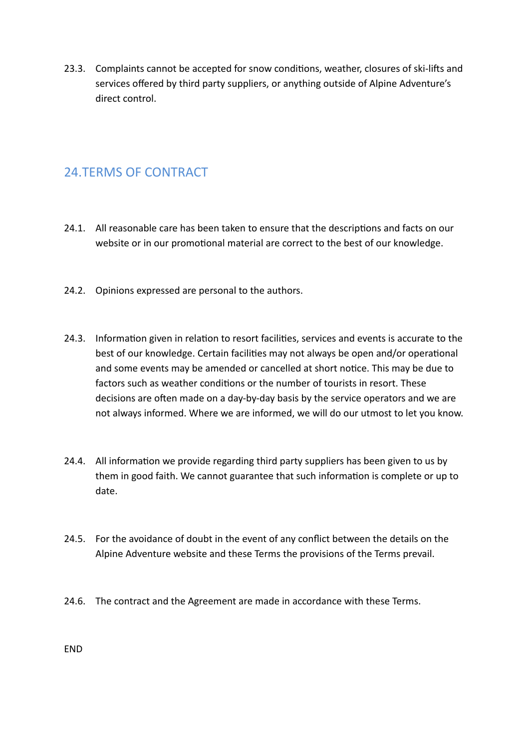23.3. Complaints cannot be accepted for snow conditions, weather, closures of ski-lifts and services offered by third party suppliers, or anything outside of Alpine Adventure's direct control.

# 24.TERMS OF CONTRACT

- 24.1. All reasonable care has been taken to ensure that the descriptions and facts on our website or in our promotional material are correct to the best of our knowledge.
- 24.2. Opinions expressed are personal to the authors.
- 24.3. Information given in relation to resort facilities, services and events is accurate to the best of our knowledge. Certain facilities may not always be open and/or operational and some events may be amended or cancelled at short notice. This may be due to factors such as weather conditions or the number of tourists in resort. These decisions are often made on a day-by-day basis by the service operators and we are not always informed. Where we are informed, we will do our utmost to let you know.
- 24.4. All information we provide regarding third party suppliers has been given to us by them in good faith. We cannot guarantee that such information is complete or up to date.
- 24.5. For the avoidance of doubt in the event of any conflict between the details on the Alpine Adventure website and these Terms the provisions of the Terms prevail.
- 24.6. The contract and the Agreement are made in accordance with these Terms.

END